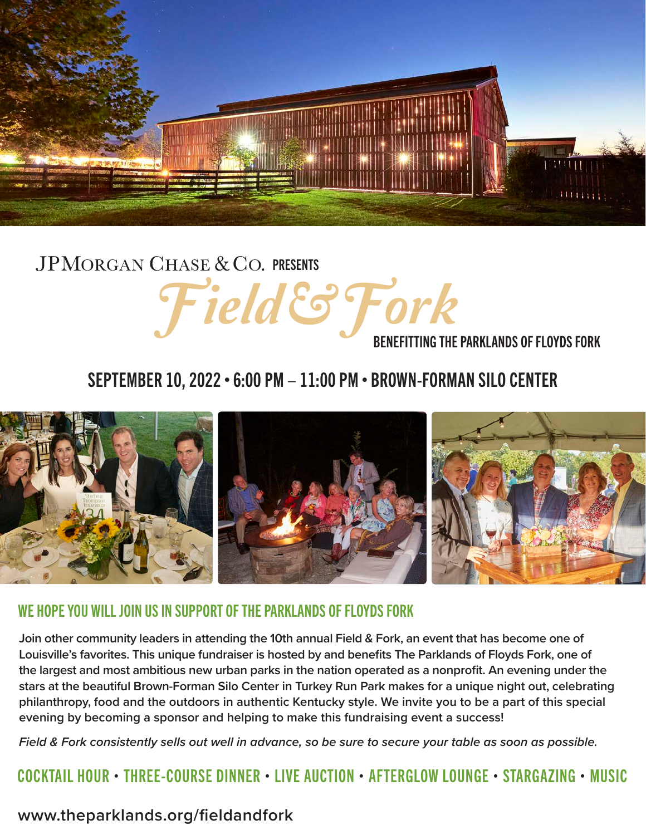

## JPMORGAN CHASE & CO. PRESENTS Field & Fork<br>BENEFITTING THE PARKLANDS OF FLOYDS FORK

### SEPTEMBER 10, 2022 • 6:00 PM – 11:00 PM • BROWN-FORMAN SILO CENTER



#### WE HOPE YOU WILL JOIN US IN SUPPORT OF THE PARKLANDS OF FLOYDS FORK

**Join other community leaders in attending the 10th annual Field & Fork, an event that has become one of Louisville's favorites. This unique fundraiser is hosted by and benefits The Parklands of Floyds Fork, one of the largest and most ambitious new urban parks in the nation operated as a nonprofit. An evening under the stars at the beautiful Brown-Forman Silo Center in Turkey Run Park makes for a unique night out, celebrating philanthropy, food and the outdoors in authentic Kentucky style. We invite you to be a part of this special evening by becoming a sponsor and helping to make this fundraising event a success!** 

*Field & Fork consistently sells out well in advance, so be sure to secure your table as soon as possible.* 

COCKTAIL HOUR • THREE-COURSE DINNER • LIVE AUCTION • AFTERGLOW LOUNGE • STARGAZING • MUSIC

#### **www.theparklands.org/fieldandfork**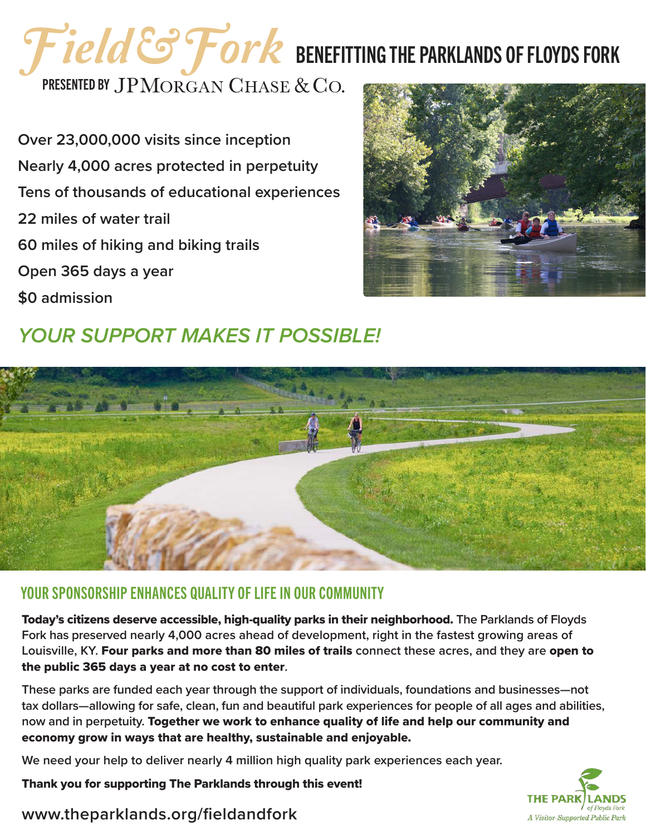# Field & Fork BENEFITTING THE PARKLANDS OF FLOYDS FORK

PRESENTED BY JPMORGAN CHASE & CO.

**Over 23,000,000 visits since inception Nearly 4,000 acres protected in perpetuity Tens of thousands of educational experiences 22 miles of water trail 60 miles of hiking and biking trails Open 365 days a year \$0 admission**







#### YOUR SPONSORSHIP ENHANCES QUALITY OF LIFE IN OUR COMMUNITY

Today's citizens deserve accessible, high-quality parks in their neighborhood. **The Parklands of Floyds Fork has preserved nearly 4,000 acres ahead of development, right in the fastest growing areas of Louisville, KY.** Four parks and more than 80 miles of trails **connect these acres, and they are** open to the public 365 days a year at no cost to enter**.** 

**These parks are funded each year through the support of individuals, foundations and businesses—not tax dollars—allowing for safe, clean, fun and beautiful park experiences for people of all ages and abilities, now and in perpetuity.** Together we work to enhance quality of life and help our community and economy grow in ways that are healthy, sustainable and enjoyable.

**We need your help to deliver nearly 4 million high quality park experiences each year.** 

Thank you for supporting The Parklands through this event!



#### **www.theparklands.org/fieldandfork**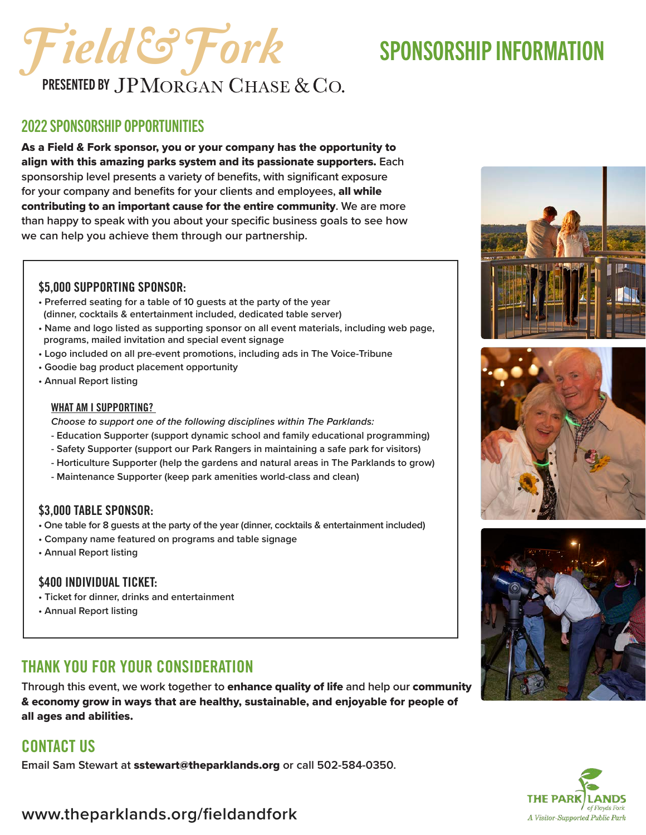## Field & Fork SPONSORSHIP INFORMATION **PRESENTED BY JPMORGAN CHASE & CO.**

#### 2022 SPONSORSHIP OPPORTUNITIES

As a Field & Fork sponsor, you or your company has the opportunity to align with this amazing parks system and its passionate supporters. **Each sponsorship level presents a variety of benefits, with significant exposure for your company and benefits for your clients and employees,** all while contributing to an important cause for the entire community**. We are more than happy to speak with you about your specific business goals to see how we can help you achieve them through our partnership.** 

#### \$5,000 SUPPORTING SPONSOR:

- **Preferred seating for a table of 10 guests at the party of the year (dinner, cocktails & entertainment included, dedicated table server)**
- **Name and logo listed as supporting sponsor on all event materials, including web page, programs, mailed invitation and special event signage**
- **Logo included on all pre-event promotions, including ads in The Voice-Tribune**
- **Goodie bag product placement opportunity**
- **Annual Report listing**

#### WHAT AM I SUPPORTING?

*Choose to support one of the following disciplines within The Parklands:* 

- **Education Supporter (support dynamic school and family educational programming)**
- **Safety Supporter (support our Park Rangers in maintaining a safe park for visitors)**
- **Horticulture Supporter (help the gardens and natural areas in The Parklands to grow)**
- **Maintenance Supporter (keep park amenities world-class and clean)**

#### \$3,000 TABLE SPONSOR:

- **One table for 8 guests at the party of the year (dinner, cocktails & entertainment included)**
- **Company name featured on programs and table signage**
- **Annual Report listing**

#### \$400 INDIVIDUAL TICKET:

- **Ticket for dinner, drinks and entertainment**
- **Annual Report listing**

### THANK YOU FOR YOUR CONSIDERATION

**Through this event, we work together to** enhance quality of life **and help our** community & economy grow in ways that are healthy, sustainable, and enjoyable for people of all ages and abilities.

#### CONTACT US

**Email Sam Stewart at** sstewart@theparklands.org **or call 502-584-0350.**









**www.theparklands.org/fieldandfork**